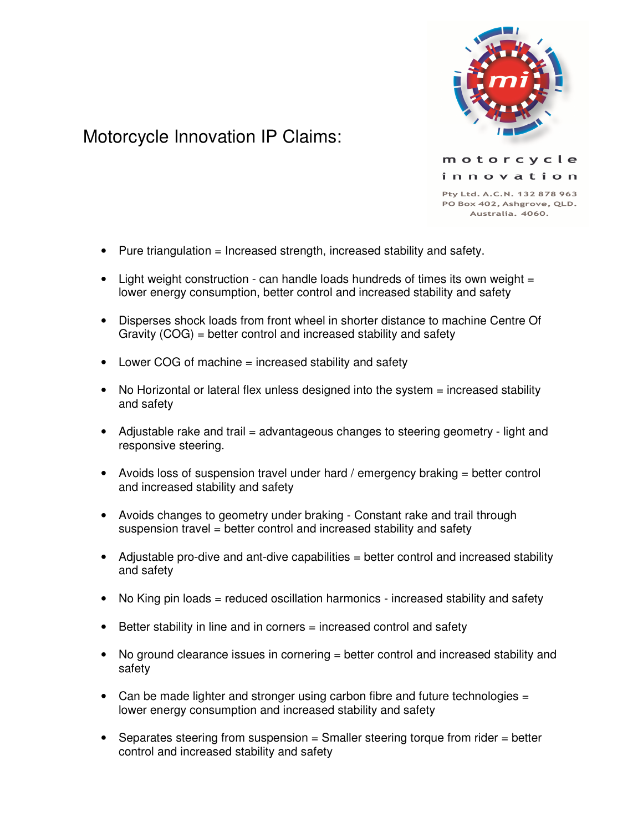

## Motorcycle Innovation IP Claims:

innovation Pty Ltd. A.C.N. 132 878 963 PO Box 402, Ashgrove, QLD.

Australia, 4060.

motorcycle

- Pure triangulation  $=$  Increased strength, increased stability and safety.
- Light weight construction can handle loads hundreds of times its own weight  $=$ lower energy consumption, better control and increased stability and safety
- Disperses shock loads from front wheel in shorter distance to machine Centre Of Gravity (COG) = better control and increased stability and safety
- Lower COG of machine = increased stability and safety
- No Horizontal or lateral flex unless designed into the system = increased stability and safety
- Adjustable rake and trail = advantageous changes to steering geometry light and responsive steering.
- Avoids loss of suspension travel under hard / emergency braking = better control and increased stability and safety
- Avoids changes to geometry under braking Constant rake and trail through suspension travel = better control and increased stability and safety
- Adjustable pro-dive and ant-dive capabilities = better control and increased stability and safety
- No King pin loads = reduced oscillation harmonics increased stability and safety
- Better stability in line and in corners = increased control and safety
- No ground clearance issues in cornering = better control and increased stability and safety
- Can be made lighter and stronger using carbon fibre and future technologies = lower energy consumption and increased stability and safety
- Separates steering from suspension = Smaller steering torque from rider = better control and increased stability and safety